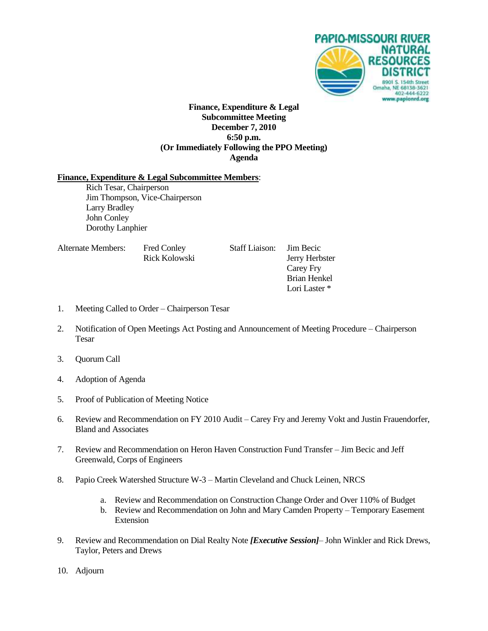

#### **Finance, Expenditure & Legal Subcommittee Meeting December 7, 2010 6:50 p.m. (Or Immediately Following the PPO Meeting) Agenda**

#### **Finance, Expenditure & Legal Subcommittee Members**:

Rich Tesar, Chairperson Jim Thompson, Vice-Chairperson Larry Bradley John Conley Dorothy Lanphier

| Alternate Members: | <b>Fred Conley</b><br>Rick Kolowski | <b>Staff Liaison:</b> | Jim Becic<br>Jerry Herbster |
|--------------------|-------------------------------------|-----------------------|-----------------------------|
|                    |                                     |                       | Carey Fry                   |
|                    |                                     |                       | Brian Henkel                |
|                    |                                     |                       | Lori Laster *               |

- 1. Meeting Called to Order Chairperson Tesar
- 2. Notification of Open Meetings Act Posting and Announcement of Meeting Procedure Chairperson Tesar
- 3. Quorum Call
- 4. Adoption of Agenda
- 5. Proof of Publication of Meeting Notice
- 6. Review and Recommendation on FY 2010 Audit Carey Fry and Jeremy Vokt and Justin Frauendorfer, Bland and Associates
- 7. Review and Recommendation on Heron Haven Construction Fund Transfer Jim Becic and Jeff Greenwald, Corps of Engineers
- 8. Papio Creek Watershed Structure W-3 Martin Cleveland and Chuck Leinen, NRCS
	- a. Review and Recommendation on Construction Change Order and Over 110% of Budget
	- b. Review and Recommendation on John and Mary Camden Property Temporary Easement Extension
- 9. Review and Recommendation on Dial Realty Note *[Executive Session]* John Winkler and Rick Drews, Taylor, Peters and Drews
- 10. Adjourn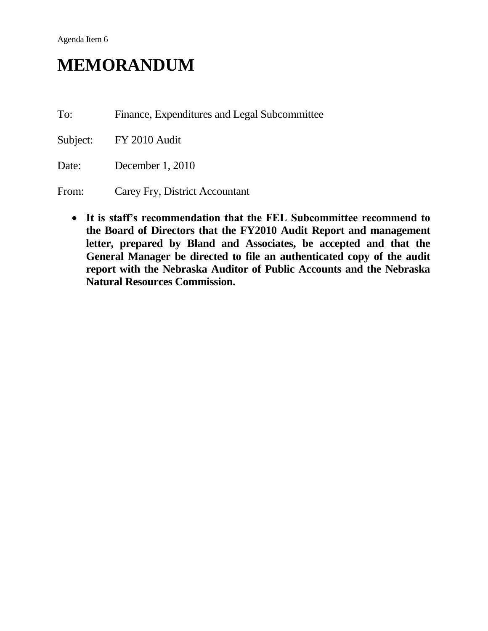# **MEMORANDUM**

To: Finance, Expenditures and Legal Subcommittee

Subject: FY 2010 Audit

Date: December 1, 2010

From: Carey Fry, District Accountant

 **It is staff's recommendation that the FEL Subcommittee recommend to the Board of Directors that the FY2010 Audit Report and management letter, prepared by Bland and Associates, be accepted and that the General Manager be directed to file an authenticated copy of the audit report with the Nebraska Auditor of Public Accounts and the Nebraska Natural Resources Commission.**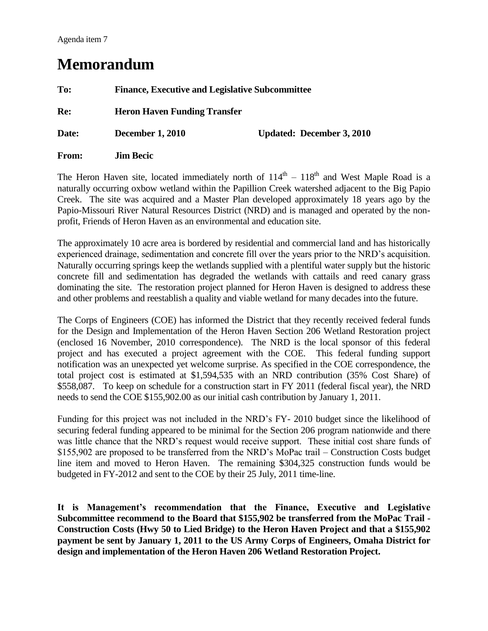### **Memorandum**

| To:   | <b>Finance, Executive and Legislative Subcommittee</b> |                                  |  |
|-------|--------------------------------------------------------|----------------------------------|--|
| Re:   | <b>Heron Haven Funding Transfer</b>                    |                                  |  |
| Date: | <b>December 1, 2010</b>                                | <b>Updated: December 3, 2010</b> |  |
| From: | <b>Jim Becic</b>                                       |                                  |  |

The Heron Haven site, located immediately north of  $114<sup>th</sup> - 118<sup>th</sup>$  and West Maple Road is a naturally occurring oxbow wetland within the Papillion Creek watershed adjacent to the Big Papio Creek. The site was acquired and a Master Plan developed approximately 18 years ago by the Papio-Missouri River Natural Resources District (NRD) and is managed and operated by the nonprofit, Friends of Heron Haven as an environmental and education site.

The approximately 10 acre area is bordered by residential and commercial land and has historically experienced drainage, sedimentation and concrete fill over the years prior to the NRD's acquisition. Naturally occurring springs keep the wetlands supplied with a plentiful water supply but the historic concrete fill and sedimentation has degraded the wetlands with cattails and reed canary grass dominating the site. The restoration project planned for Heron Haven is designed to address these and other problems and reestablish a quality and viable wetland for many decades into the future.

The Corps of Engineers (COE) has informed the District that they recently received federal funds for the Design and Implementation of the Heron Haven Section 206 Wetland Restoration project (enclosed 16 November, 2010 correspondence). The NRD is the local sponsor of this federal project and has executed a project agreement with the COE. This federal funding support notification was an unexpected yet welcome surprise. As specified in the COE correspondence, the total project cost is estimated at \$1,594,535 with an NRD contribution (35% Cost Share) of \$558,087. To keep on schedule for a construction start in FY 2011 (federal fiscal year), the NRD needs to send the COE \$155,902.00 as our initial cash contribution by January 1, 2011.

Funding for this project was not included in the NRD's FY- 2010 budget since the likelihood of securing federal funding appeared to be minimal for the Section 206 program nationwide and there was little chance that the NRD's request would receive support. These initial cost share funds of \$155,902 are proposed to be transferred from the NRD's MoPac trail – Construction Costs budget line item and moved to Heron Haven. The remaining \$304,325 construction funds would be budgeted in FY-2012 and sent to the COE by their 25 July, 2011 time-line.

**It is Management's recommendation that the Finance, Executive and Legislative Subcommittee recommend to the Board that \$155,902 be transferred from the MoPac Trail - Construction Costs (Hwy 50 to Lied Bridge) to the Heron Haven Project and that a \$155,902 payment be sent by January 1, 2011 to the US Army Corps of Engineers, Omaha District for design and implementation of the Heron Haven 206 Wetland Restoration Project.**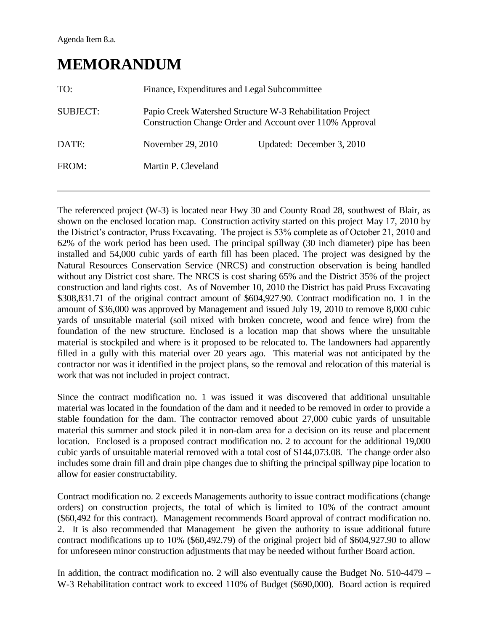### **MEMORANDUM**

| TO:             | Finance, Expenditures and Legal Subcommittee                                                                           |                           |  |
|-----------------|------------------------------------------------------------------------------------------------------------------------|---------------------------|--|
| <b>SUBJECT:</b> | Papio Creek Watershed Structure W-3 Rehabilitation Project<br>Construction Change Order and Account over 110% Approval |                           |  |
| DATE:           | November 29, 2010                                                                                                      | Updated: December 3, 2010 |  |
| FROM:           | Martin P. Cleveland                                                                                                    |                           |  |

The referenced project (W-3) is located near Hwy 30 and County Road 28, southwest of Blair, as shown on the enclosed location map. Construction activity started on this project May 17, 2010 by the District's contractor, Pruss Excavating. The project is 53% complete as of October 21, 2010 and 62% of the work period has been used. The principal spillway (30 inch diameter) pipe has been installed and 54,000 cubic yards of earth fill has been placed. The project was designed by the Natural Resources Conservation Service (NRCS) and construction observation is being handled without any District cost share. The NRCS is cost sharing 65% and the District 35% of the project construction and land rights cost. As of November 10, 2010 the District has paid Pruss Excavating \$308,831.71 of the original contract amount of \$604,927.90. Contract modification no. 1 in the amount of \$36,000 was approved by Management and issued July 19, 2010 to remove 8,000 cubic yards of unsuitable material (soil mixed with broken concrete, wood and fence wire) from the foundation of the new structure. Enclosed is a location map that shows where the unsuitable material is stockpiled and where is it proposed to be relocated to. The landowners had apparently filled in a gully with this material over 20 years ago. This material was not anticipated by the contractor nor was it identified in the project plans, so the removal and relocation of this material is work that was not included in project contract.

Since the contract modification no. 1 was issued it was discovered that additional unsuitable material was located in the foundation of the dam and it needed to be removed in order to provide a stable foundation for the dam. The contractor removed about 27,000 cubic yards of unsuitable material this summer and stock piled it in non-dam area for a decision on its reuse and placement location. Enclosed is a proposed contract modification no. 2 to account for the additional 19,000 cubic yards of unsuitable material removed with a total cost of \$144,073.08. The change order also includes some drain fill and drain pipe changes due to shifting the principal spillway pipe location to allow for easier constructability.

Contract modification no. 2 exceeds Managements authority to issue contract modifications (change orders) on construction projects, the total of which is limited to 10% of the contract amount (\$60,492 for this contract). Management recommends Board approval of contract modification no. 2. It is also recommended that Management be given the authority to issue additional future contract modifications up to 10% (\$60,492.79) of the original project bid of \$604,927.90 to allow for unforeseen minor construction adjustments that may be needed without further Board action.

In addition, the contract modification no. 2 will also eventually cause the Budget No. 510-4479 – W-3 Rehabilitation contract work to exceed 110% of Budget (\$690,000). Board action is required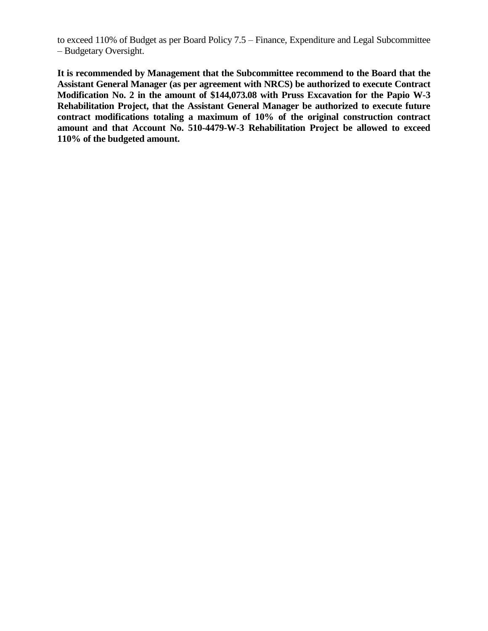to exceed 110% of Budget as per Board Policy 7.5 – Finance, Expenditure and Legal Subcommittee – Budgetary Oversight.

**It is recommended by Management that the Subcommittee recommend to the Board that the Assistant General Manager (as per agreement with NRCS) be authorized to execute Contract Modification No. 2 in the amount of \$144,073.08 with Pruss Excavation for the Papio W-3 Rehabilitation Project, that the Assistant General Manager be authorized to execute future contract modifications totaling a maximum of 10% of the original construction contract amount and that Account No. 510-4479-W-3 Rehabilitation Project be allowed to exceed 110% of the budgeted amount.**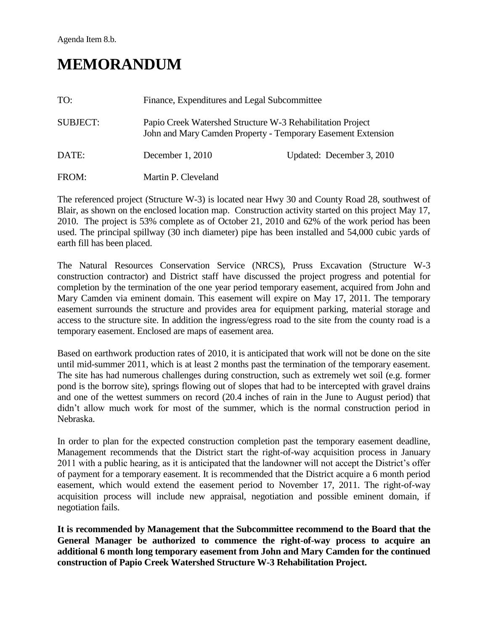## **MEMORANDUM**

| TO:             | Finance, Expenditures and Legal Subcommittee                                                                               |                           |  |
|-----------------|----------------------------------------------------------------------------------------------------------------------------|---------------------------|--|
| <b>SUBJECT:</b> | Papio Creek Watershed Structure W-3 Rehabilitation Project<br>John and Mary Camden Property - Temporary Easement Extension |                           |  |
| DATE:           | December $1, 2010$                                                                                                         | Updated: December 3, 2010 |  |
| FROM:           | Martin P. Cleveland                                                                                                        |                           |  |

The referenced project (Structure W-3) is located near Hwy 30 and County Road 28, southwest of Blair, as shown on the enclosed location map. Construction activity started on this project May 17, 2010. The project is 53% complete as of October 21, 2010 and 62% of the work period has been used. The principal spillway (30 inch diameter) pipe has been installed and 54,000 cubic yards of earth fill has been placed.

The Natural Resources Conservation Service (NRCS), Pruss Excavation (Structure W-3 construction contractor) and District staff have discussed the project progress and potential for completion by the termination of the one year period temporary easement, acquired from John and Mary Camden via eminent domain. This easement will expire on May 17, 2011. The temporary easement surrounds the structure and provides area for equipment parking, material storage and access to the structure site. In addition the ingress/egress road to the site from the county road is a temporary easement. Enclosed are maps of easement area.

Based on earthwork production rates of 2010, it is anticipated that work will not be done on the site until mid-summer 2011, which is at least 2 months past the termination of the temporary easement. The site has had numerous challenges during construction, such as extremely wet soil (e.g. former pond is the borrow site), springs flowing out of slopes that had to be intercepted with gravel drains and one of the wettest summers on record (20.4 inches of rain in the June to August period) that didn't allow much work for most of the summer, which is the normal construction period in Nebraska.

In order to plan for the expected construction completion past the temporary easement deadline, Management recommends that the District start the right-of-way acquisition process in January 2011 with a public hearing, as it is anticipated that the landowner will not accept the District's offer of payment for a temporary easement. It is recommended that the District acquire a 6 month period easement, which would extend the easement period to November 17, 2011. The right-of-way acquisition process will include new appraisal, negotiation and possible eminent domain, if negotiation fails.

**It is recommended by Management that the Subcommittee recommend to the Board that the General Manager be authorized to commence the right-of-way process to acquire an additional 6 month long temporary easement from John and Mary Camden for the continued construction of Papio Creek Watershed Structure W-3 Rehabilitation Project.**